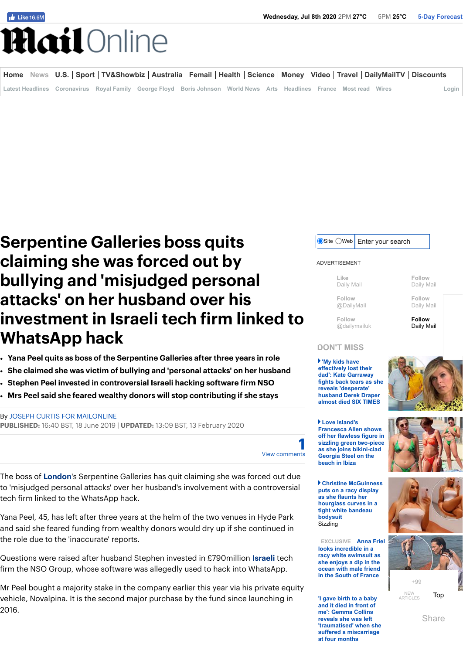# <span id="page-0-0"></span>**Hail** Online

| Home News U.S.   Sport   TV&Showbiz   Australia   Femail   Health   Science   Money   Video   Travel   DailyMailTV   Discounts |  |  |  |  |  |       |
|--------------------------------------------------------------------------------------------------------------------------------|--|--|--|--|--|-------|
| Latest Headlines Coronavirus Roval Family George Flovd Boris Johnson World News Arts Headlines France Most read Wires          |  |  |  |  |  | Login |

### Serpentine Galleries boss quits claiming she was forced out by bullying and 'misjudged personal attacks' on her husband over his investment in Israeli tech firm linked to WhatsApp hack

- Yana Peel quits as boss of the Serpentine Galleries after three years in role
- $\cdot$  She claimed she was victim of bullying and 'personal attacks' on her husband
- Stephen Peel invested in controversial Israeli hacking software firm NSO
- Mrs Peel said she feared wealthy donors will stop contributing if she stays

#### By JOSEPH CURTIS FOR [MAILONLINE](https://www.dailymail.co.uk/home/search.html?s=&authornamef=Joseph+Curtis+For+Mailonline)

PUBLISHED: 16:40 BST, 18 June 2019 | UPDATED: 13:09 BST, 13 February 2020

1 View [comments](#page-6-0)

The boss of [London](https://www.dailymail.co.uk/news/london/index.html)'s Serpentine Galleries has quit claiming she was forced out due to 'misjudged personal attacks' over her husband's involvement with a controversial tech firm linked to the WhatsApp hack.

Yana Peel, 45, has left after three years at the helm of the two venues in Hyde Park and said she feared funding from wealthy donors would dry up if she continued in the role due to the 'inaccurate' reports.

Questions were raised after husband Stephen invested in £790million [Israeli](https://www.dailymail.co.uk/news/israel/index.html) tech firm the NSO Group, whose software was allegedly used to hack into WhatsApp.

Mr Peel bought a majority stake in the company earlier this year via his private equity vehicle, Novalpina. It is the second major purchase by the fund since launching in 2016.

Osite Oweb Enter your search

#### ADVERTISEMENT

**Like** Daily Mail

**Follow** @DailyMail

**Follow** Daily Mail

**Follow** Daily Mail **Follow**

Daily Mail

**Follow** @dailymailuk

#### **DON'T MISS**

**'My kids have effectively lost their dad': Kate Garraway [fights back tears as she](https://www.dailymail.co.uk/tvshowbiz/article-8501139/Kate-Garraway-reveals-husband-Derek-opened-EYES-waking-coma.html) reveals 'desperate' husband Derek Draper almost died SIX TIMES**

**Love Island's Francesca Allen shows off her flawless figure in [sizzling green two-piece](https://www.dailymail.co.uk/tvshowbiz/article-8501373/Love-Islands-Francesca-Allen-shows-flawless-figure.html) as she joins bikini-clad Georgia Steel on the beach in Ibiza** 

**[Christine McGuinness](https://www.dailymail.co.uk/tvshowbiz/article-8501147/Christine-McGuinness-puts-racy-display-tight-white-bandeau-bodysuit.html) puts on a racy display as she flaunts her hourglass curves in a tight white bandeau bodysuit**  Sizzling

**EXCLUSIVE Anna Friel looks incredible in a [racy white swimsuit as](https://www.dailymail.co.uk/tvshowbiz/article-8501923/Anna-Friel-43-looks-incredible-racy-white-swimsuit-enjoys-dip-ocean.html) she enjoys a dip in the ocean with male friend in the South of France**

**'I gave birth to a baby and it died in front of me': Gemma Collins reveals she was left ['traumatised' when she](https://www.dailymail.co.uk/tvshowbiz/article-8501773/Gemma-Collins-suffered-heartbreaking-miscarriage-gave-birth-baby-four-months-pregnant.html) suffered a miscarriage at four months**









[ARTICLES](https://www.dailymail.co.uk/) **[Top](#page-0-0)**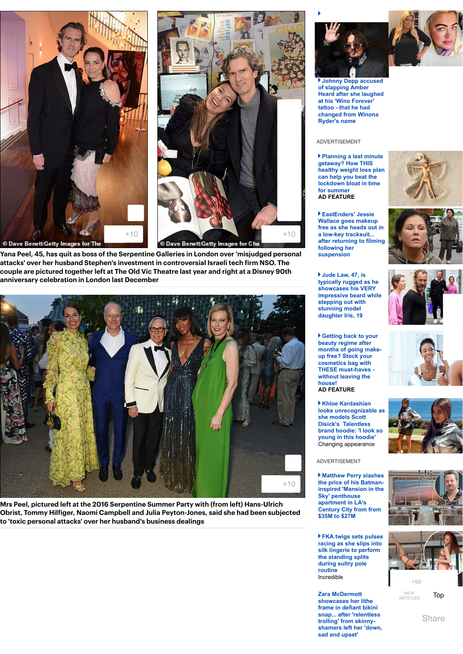



Yana Peel, 45, has quit as boss of the Serpentine Galleries in London over 'misjudged personal attacks' over her husband Stephen's investment in controversial Israeli tech firm NSO. The couple are pictured together left at The Old Vic Theatre last year and right at a Disney 90th anniversary celebration in London last December



Mrs Peel, pictured left at the 2016 Serpentine Summer Party with (from left) Hans-Ulrich Obrist, Tommy Hilfiger, Naomi Campbell and Julia Peyton-Jones, said she had been subjected to 'toxic personal attacks' over her husband's business dealings



**Johnny Depp accused of slapping Amber [Heard after she laughed](https://www.dailymail.co.uk/news/article-8501429/Johnny-Depp-vs-Amber-Heard-round-two-Hollywood-legend-arrives-stand-second-day.html) at his 'Wino Forever' tattoo - that he had changed from Winona Ryder's name**

#### ADVERTISEMENT

**Planning a last minute getaway? How THIS [healthy weight loss plan](https://www.dailymail.co.uk/femail/article-8447671/How-healthy-weight-loss-plan-help-beat-lockdown-bloat-time-summer.html) can help you beat the lockdown bloat in time for summer AD FEATURE**

**EastEnders' Jessie Wallace goes makeup free as she heads out in a low-key tracksuit... [after returning to filming](https://www.dailymail.co.uk/tvshowbiz/article-8501685/EastEnders-Jessie-Wallace-goes-makeup-free-heads-low-key-tracksuit.html) following her suspension**

**Jude Law, 47, is typically rugged as he showcases his VERY [impressive beard while](https://www.dailymail.co.uk/tvshowbiz/article-8501499/Jude-Law-47-steps-daughter-Iris-19.html) stepping out with stunning model daughter Iris, 19**

**Getting back to your beauty regime after [months of going make](https://www.dailymail.co.uk/femail/article-8402423/Stock-make-bag-haves.html)up free? Stock your cosmetics bag with THESE must-haves without leaving the house! AD FEATURE**

**Khloe Kardashian [looks unrecognizable as](https://www.dailymail.co.uk/tvshowbiz/article-8501025/Khloe-Kardashian-looks-unrecognizable-models-Scott-Disicks-Talentless-brand-hoodie.html) she models Scott Disick's Talentless brand hoodie: 'I look so young in this hoodie'** Changing appearance

#### ADVERTISEMENT

**Matthew Perry slashes the price of his Batman[inspired 'Mansion in the](https://www.dailymail.co.uk/tvshowbiz/article-8500305/Matthew-Perry-slashes-price-Batman-inspired-Mansion-Sky-LA-penthouse-apartment.html) Sky' penthouse apartment in LA's Century City from from \$35M to \$27M**

**FKA twigs sets pulses [racing as she slips into](https://www.dailymail.co.uk/tvshowbiz/article-8501667/FKA-twigs-slips-silk-lingerie-perform-standing-splits-sultry-pole-routine.html) silk lingerie to perform the standing splits during sultry pole routine** Incredible

**Zara McDermott showcases her lithe frame in defiant bikini snap... after 'relentless trolling' from skinny[shamers left her 'down,](https://www.dailymail.co.uk/tvshowbiz/article-8501843/Zara-McDermott-showcases-lithe-frame-defiant-bikini-snap.html) sad and upset'**















[ARTICLES](https://www.dailymail.co.uk/) **[Top](#page-0-0)** 

+99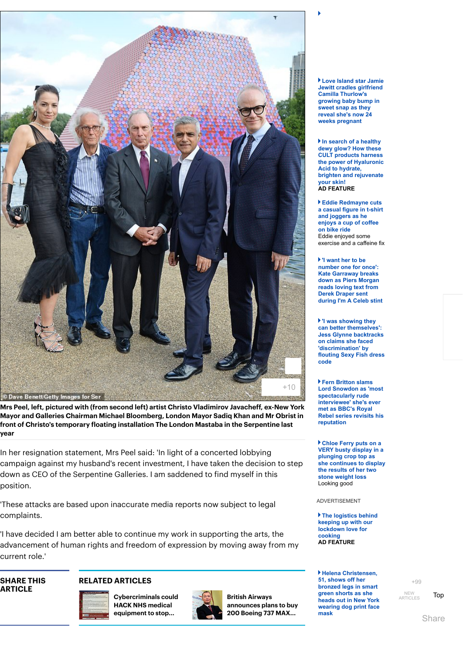

Mrs Peel, left, pictured with (from second left) artist Christo Vladimirov Javacheff, ex-New York Mayor and Galleries Chairman Michael Bloomberg, London Mayor Sadiq Khan and Mr Obrist in front of Christo's temporary floating installation The London Mastaba in the Serpentine last year

In her resignation statement, Mrs Peel said: 'In light of a concerted lobbying campaign against my husband's recent investment, I have taken the decision to step down as CEO of the Serpentine Galleries. I am saddened to find myself in this position.

'These attacks are based upon inaccurate media reports now subject to legal complaints.

'I have decided I am better able to continue my work in supporting the arts, the advancement of human rights and freedom of expression by moving away from my current role.'

#### SHARE THIS ARTICLE

### RELATED ARTICLES



[Cybercriminals](https://www.dailymail.co.uk/health/article-7149385/Cybercriminals-hack-medical-devices-used-NHS-hospitals.html) could HACK NHS medical equipment to stop...



British Airways [announces](https://www.dailymail.co.uk/news/article-7154585/British-Airways-announces-plans-buy-200-Boeing-737-MAX-jets.html) plans to buy 200 Boeing 737 MAX...

**Love Island star Jamie [Jewitt cradles girlfriend](https://www.dailymail.co.uk/tvshowbiz/article-8501771/Love-Island-star-Jamie-Jewitt-cradles-girlfriend-Camilla-Thurlows-growing-baby-bump-sweet-snap.html) Camilla Thurlow's growing baby bump in sweet snap as they reveal she's now 24 weeks pregnant**

**In search of a healthy dewy glow? How these CULT products harness [the power of Hyaluronic](https://www.dailymail.co.uk/femail/article-8426049/How-CULT-products-harness-power-Hyaluronic-Acid-hydrate-brighten-skin.html) Acid to hydrate, brighten and rejuvenate your skin!**

**AD FEATURE**

**Eddie Redmayne cuts a casual figure in t-shirt and joggers as he enjoys a cup of coffee on bike ride** Eddie enjoyed some [exercise and a caffeine fix](https://www.dailymail.co.uk/tvshowbiz/article-8501967/Eddie-Redmayne-enjoys-cup-coffee-bike-ride.html)

**'I want her to be number one for once': Kate Garraway breaks down as Piers Morgan reads loving text from Derek Draper sent [during I'm A Celeb stint](https://www.dailymail.co.uk/tvshowbiz/article-8501285/Kate-Garraway-breaks-Piers-Morgan-reads-loving-text-Derek-Draper.html)**

**'I was showing they can better themselves': Jess Glynne backtracks on claims she faced 'discrimination' by [flouting Sexy Fish dress](https://www.dailymail.co.uk/tvshowbiz/article-8501189/Jess-Glynne-backtracks-claims-faced-discrimination.html) code**

**Fern Britton slams Lord Snowdon as 'most spectacularly rude interviewee' she's ever met as BBC's Royal [Rebel series revisits his](https://www.dailymail.co.uk/femail/article-8501369/Fern-Britton-slams-Princess-Margarets-former-husband-Lord-Snowdon.html) reputation**

**Chloe Ferry puts on a VERY busty display in a plunging crop top as [she continues to display](https://www.dailymail.co.uk/tvshowbiz/article-8501879/Chloe-Ferry-puts-busty-display-plunging-crop-top.html) the results of her two stone weight loss** Looking good

#### ADVERTISEMENT

**[The logistics behind](https://www.dailymail.co.uk/femail/article-8407517/The-logistics-keeping-lockdown-love-cooking.html) keeping up with our lockdown love for cooking AD FEATURE**

**Helena Christensen, 51, shows off her bronzed legs in smart green shorts as she heads out in New York [wearing dog print face](https://www.dailymail.co.uk/tvshowbiz/article-8501973/Helena-Christensen-shows-bronzed-legs-smart-green-shorts.html) mask**

+99

NEW [ARTICLES](https://www.dailymail.co.uk/) **[Top](#page-0-0)**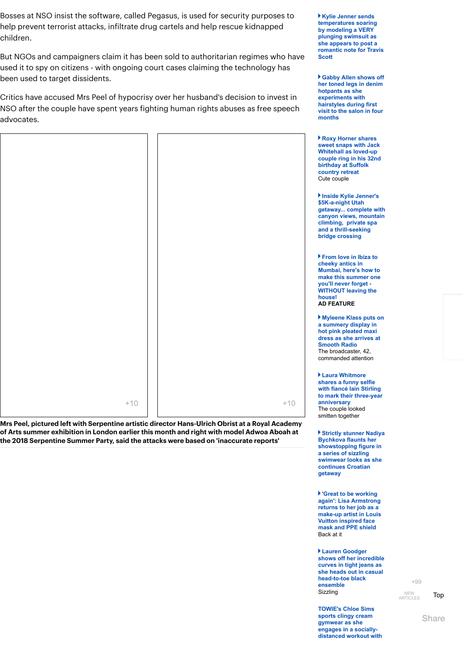Bosses at NSO insist the software, called Pegasus, is used for security purposes to help prevent terrorist attacks, infiltrate drug cartels and help rescue kidnapped children.

But NGOs and campaigners claim it has been sold to authoritarian regimes who have used it to spy on citizens - with ongoing court cases claiming the technology has been used to target dissidents.

Critics have accused Mrs Peel of hypocrisy over her husband's decision to invest in NSO after the couple have spent years fighting human rights abuses as free speech advocates.



Mrs Peel, pictured left with Serpentine artistic director Hans-Ulrich Obrist at a Royal Academy of Arts summer exhibition in London earlier this month and right with model Adwoa Aboah at the 2018 Serpentine Summer Party, said the attacks were based on 'inaccurate reports'

**Kylie Jenner sends temperatures soaring by modeling a VERY plunging swimsuit as she appears to post a [romantic note for Travis](https://www.dailymail.co.uk/tvshowbiz/article-8499705/Kylie-Jenner-sends-temperatures-soaring-models-plunging-swimsuit.html) Scott**

**Gabby Allen shows off her toned legs in denim hotpants as she experiments with hairstyles during first [visit to the salon in four](https://www.dailymail.co.uk/tvshowbiz/article-8501541/Gabby-Allen-shows-toned-legs-denim-hotpants.html) months**

**Roxy Horner shares sweet snaps with Jack Whitehall as loved-up [couple ring in his 32nd](https://www.dailymail.co.uk/tvshowbiz/article-8501899/Roxy-Horner-shares-sweet-snaps-Jack-Whitehall-loved-couple-ring-32nd-birthday.html) birthday at Suffolk country retreat** Cute couple

**Inside Kylie Jenner's \$5K-a-night Utah [getaway... complete with](https://www.dailymail.co.uk/tvshowbiz/article-8499367/Kylie-Jenner-shares-tour-lavish-5K-night-hotel-Utah.html) canyon views, mountain climbing, private spa and a thrill-seeking bridge crossing** 

**From love in Ibiza to cheeky antics in Mumbai, here's how to [make this summer one](https://www.dailymail.co.uk/tvshowbiz/article-8439707/From-love-Ibiza-fun-Mumbai-heres-make-summer-amazing-WITHOUT-leaving-home.html) you'll never forget - WITHOUT leaving the house! AD FEATURE**

**Myleene Klass puts on a summery display in hot pink pleated maxi [dress as she arrives at](https://www.dailymail.co.uk/tvshowbiz/article-8501605/Mylenne-Klass-puts-summery-display-hot-pink-pleated-maxi-dress.html) Smooth Radio** The broadcaster, 42 commanded attention

**Laura Whitmore shares a funny selfie with fiancé Iain Stirling [to mark their three-year](https://www.dailymail.co.uk/tvshowbiz/article-8501553/Laura-Whitmore-poses-funny-selfie-fianc-Iain-Stirling-mark-three-year-anniversary.html) anniversary** The couple looked smitten together

**Strictly stunner Nadiya Bychkova flaunts her showstopping figure in a series of sizzling [swimwear looks as she](https://www.dailymail.co.uk/tvshowbiz/article-8501705/Strictly-stunner-Nadiya-Bychkova-flaunts-showstopping-figure.html) continues Croatian getaway** 

**'Great to be working again': Lisa Armstrong returns to her job as a [make-up artist in Louis](https://www.dailymail.co.uk/tvshowbiz/article-8501881/Lisa-Armstrong-returns-work-Louis-Vuitton-inspired-face-mask-PPE-shield.html) Vuitton inspired face mask and PPE shield** Back at it

**Lauren Goodger [shows off her incredible](https://www.dailymail.co.uk/tvshowbiz/article-8501491/Lauren-Goodger-shows-incredible-curves-tight-jeans.html) curves in tight jeans as she heads out in casual head-to-toe black ensemble** Sizzling

+99

NEW [ARTICLES](https://www.dailymail.co.uk/) **[Top](#page-0-0)** 

**TOWIE's Chloe Sims sports clingy cream gymwear as she engages in a socially[distanced workout with](https://www.dailymail.co.uk/tvshowbiz/article-8501533/TOWIEs-Chloe-Sims-engages-socially-distanced-workout-personal-trainer.html)**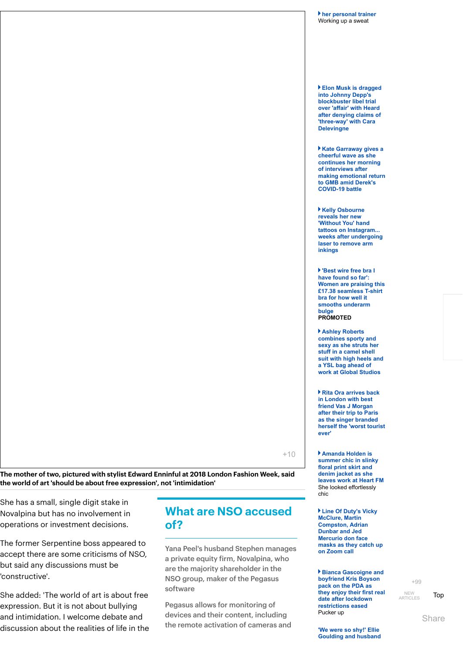**Elon Musk is dragged into Johnny Depp's blockbuster libel trial over 'affair' with Heard [after denying claims of](https://www.dailymail.co.uk/news/article-8501529/Elon-Musk-dragged-Johnny-Depps-blockbuster-libel-trial-affair-Heard.html) 'three-way' with Cara Delevingne**

**Kate Garraway gives a cheerful wave as she continues her morning of interviews after [making emotional return](https://www.dailymail.co.uk/tvshowbiz/article-8501583/Kate-Garraway-gives-cheerful-wave-continues-morning-interviews.html) to GMB amid Derek's COVID-19 battle** 

**Kelly Osbourne reveals her new 'Without You' hand tattoos on Instagram... [weeks after undergoing](https://www.dailymail.co.uk/tvshowbiz/article-8501717/Kelly-Osbourne-reveals-new-Without-hand-tattoos-Instagram.html) laser to remove arm inkings**

**'Best wire free bra I have found so far': [Women are praising this](https://www.dailymail.co.uk/femail/article-8486603/Best-wire-free-bra-far-Amazon-shoppers-raving-t-shirt-bra.html) £17.38 seamless T-shirt bra for how well it smooths underarm bulge PROMOTED**

**Ashley Roberts combines sporty and sexy as she struts her stuff in a camel shell [suit with high heels and](https://www.dailymail.co.uk/tvshowbiz/article-8501785/Ashley-Roberts-combines-sporty-sexy-ahead-work.html) a YSL bag ahead of work at Global Studios**

**Rita Ora arrives back in London with best friend Vas J Morgan after their trip to Paris as the singer branded [herself the 'worst tourist](https://www.dailymail.co.uk/tvshowbiz/article-8501593/Rita-Ora-arrives-London-best-friend-Vas-J-Morgan-Paris.html) ever'**

**Amanda Holden is summer chic in slinky floral print skirt and denim jacket as she [leaves work at Heart FM](https://www.dailymail.co.uk/tvshowbiz/article-8501817/Amanda-Holden-summer-chic-slinky-floral-print-skirt-denim-jacket.html)** She looked effortlessly chic

**Line Of Duty's Vicky McClure, Martin Compston, Adrian Dunbar and Jed Mercurio don face [masks as they catch up](https://www.dailymail.co.uk/tvshowbiz/article-8501381/Line-Dutys-Vicky-McClure-Martin-Compston-Adrian-Dunbar-don-face-masks-Zoom-call.html) on Zoom call**

**Bianca Gascoigne and boyfriend Kris Boyson pack on the PDA as [they enjoy their first real](https://www.dailymail.co.uk/tvshowbiz/article-8501511/Bianca-Gascoigne-boyfriend-Kris-Boyson-pack-PDA-enjoy-real-date.html) date after lockdown restrictions eased**

+99

[ARTICLES](https://www.dailymail.co.uk/) **[Top](#page-0-0)** 

Share

 $+10$ 

Pucker up

## of?

The mother of two, pictured with stylist Edward Enninful at 2018 London Fashion Week, said

the world of art 'should be about free expression', not 'intimidation'

Yana Peel's husband Stephen manages a private equity firm, Novalpina, who are the majority shareholder in the NSO group, maker of the Pegasus software

What are NSO accused

Pegasus allows for monitoring of devices and their content, including the remote activation of cameras and

**'We were so shy!' Ellie [Goulding and husband](https://www.dailymail.co.uk/tvshowbiz/article-8501393/Ellie-Goulding-Caspar-Jopling-admits-barely-said-single-word-date.html)**

operations or investment decisions. The former Serpentine boss appeared to accept there are some criticisms of NSO, but said any discussions must be

'constructive'.

She has a small, single digit stake in Novalpina but has no involvement in

She added: 'The world of art is about free expression. But it is not about bullying and intimidation. I welcome debate and discussion about the realities of life in the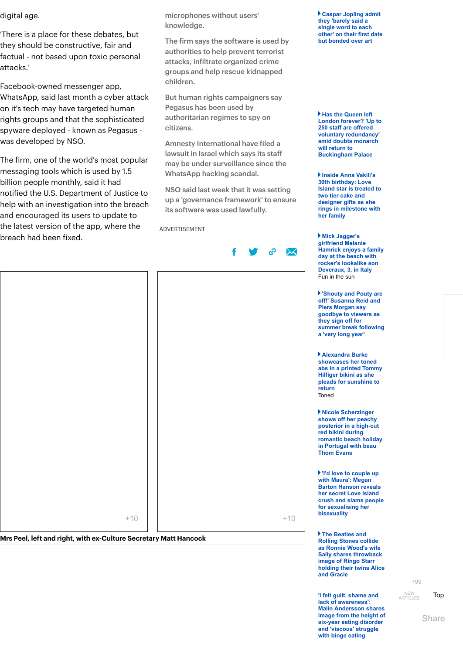digital age.

'There is a place for these debates, but they should be constructive, fair and factual - not based upon toxic personal attacks.'

Facebook-owned messenger app, WhatsApp, said last month a cyber attack on it's tech may have targeted human rights groups and that the sophisticated spyware deployed - known as Pegasus was developed by NSO.

The firm, one of the world's most popular messaging tools which is used by 1.5 billion people monthly, said it had notified the U.S. Department of Justice to help with an investigation into the breach and encouraged its users to update to the latest version of the app, where the breach had been fixed.

microphones without users' knowledge.

The firm says the software is used by authorities to help prevent terrorist attacks, infiltrate organized crime groups and help rescue kidnapped children.

But human rights campaigners say Pegasus has been used by authoritarian regimes to spy on citizens.

Amnesty International have filed a lawsuit in Israel which says its staff may be under surveillance since the WhatsApp hacking scandal.

NSO said last week that it was setting up a 'governance framework' to ensure its software was used lawfully.

ADVERTISEMENT



**Caspar Jopling admit they 'barely said a single word to each [other' on their first date](https://www.dailymail.co.uk/tvshowbiz/article-8501393/Ellie-Goulding-Caspar-Jopling-admits-barely-said-single-word-date.html) but bonded over art** 

**Has the Queen left [London forever? 'Up to](https://www.dailymail.co.uk/news/article-8496349/Hundreds-royal-staff-axed-250-offered-voluntary-redundancy.html) 250 staff are offered voluntary redundancy' amid doubts monarch will return to Buckingham Palace**

**Inside Anna Vakili's 30th birthday: Love [Island star is treated to](https://www.dailymail.co.uk/tvshowbiz/article-8501411/Inside-Anna-Vakilis-30th-birthday-Love-Island-star-treated-two-tier-cake-designer-gifts.html) two tier cake and designer gifts as she rings in milestone with her family**

**Mick Jagger's girlfriend Melanie [Hamrick enjoys a family](https://www.dailymail.co.uk/tvshowbiz/article-8501509/Mick-Jaggers-girlfriend-Melanie-Hamrick-enjoys-family-day-beach-son-Deveraux-3.html) day at the beach with rocker's lookalike son Deveraux, 3, in Italy**

**'Shouty and Pouty are off!' Susanna Reid and Piers Morgan say goodbye to viewers as they sign off for [summer break following](https://www.dailymail.co.uk/tvshowbiz/article-8501693/Susanna-Reid-Piers-Morgan-say-goodbye-viewers-sign-summer.html) a 'very long year'**

**Alexandra Burke showcases her toned [abs in a printed Tommy](https://www.dailymail.co.uk/tvshowbiz/article-8501321/Alexandra-Burke-showcases-toned-abs-printed-Tommy-Hilfiger-bikini.html) Hilfiger bikini as she pleads for sunshine to**

**Nicole Scherzinger shows off her peachy posterior in a high-cut red bikini during [romantic beach holiday](https://www.dailymail.co.uk/tvshowbiz/article-8500043/Nicole-Scherzinger-shows-peachy-posterior-high-cut-bikini-holiday-Thom-Evans.html) in Portugal with beau Thom Evans**

**'I'd love to couple up with Maura': Megan Barton Hanson reveals her secret Love Island [crush and slams people](https://www.dailymail.co.uk/tvshowbiz/article-8501375/Megan-Barton-Hanson-reveals-Love-Island-crush-Maura.html) for sexualising her**

**The Beatles and Rolling Stones collide as Ronnie Wood's wife Sally shares throwback image of Ringo Starr [holding their twins Alice](https://www.dailymail.co.uk/tvshowbiz/article-8501415/Ronnie-Woods-wife-Sally-marks-Ringo-Starr-80th-birthday-Instagram-sweet-snaps.html) and Gracie**

+99

**'I felt guilt, shame and lack of awareness': Malin Andersson shares [image from the height of](https://www.dailymail.co.uk/tvshowbiz/article-8501265/Malin-Andersson-shares-image-height-six-year-eating-disorder.html) six-year eating disorder and 'viscous' struggle with binge eating**



[ARTICLES](https://www.dailymail.co.uk/) **[Top](#page-0-0)** 



Mrs Peel, left and right, with ex-Culture Secretary Matt Hancock